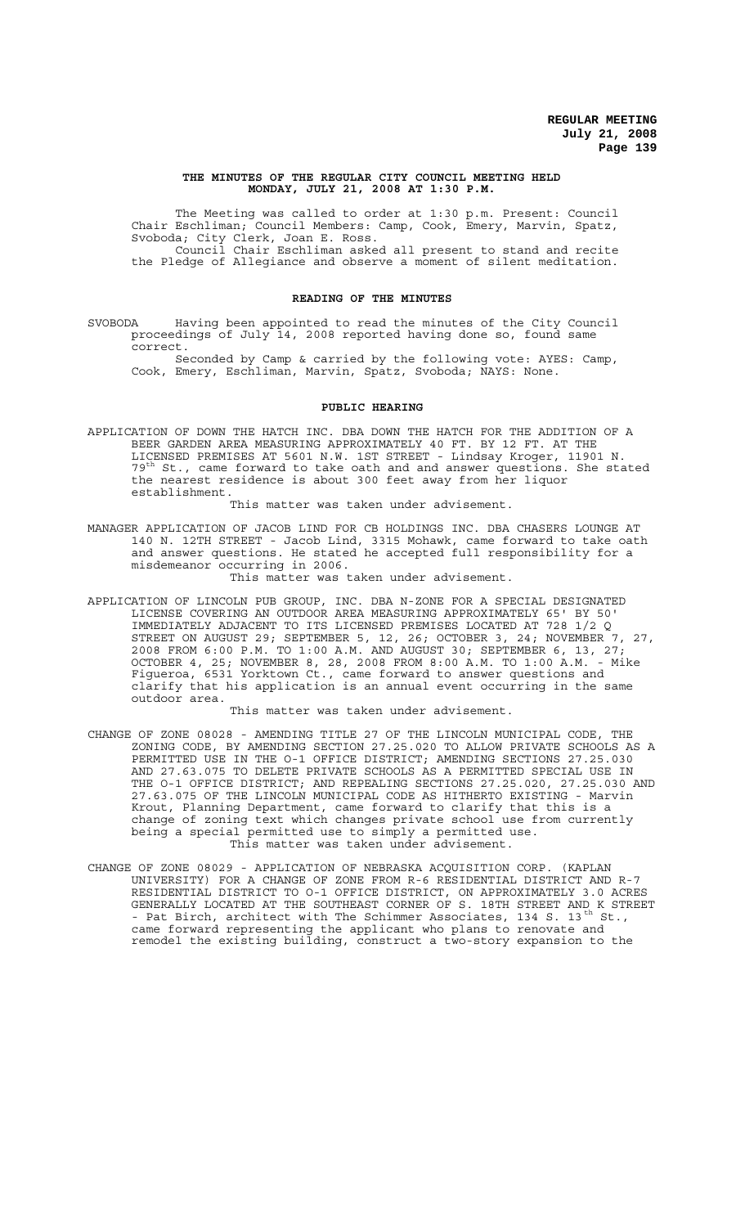#### **THE MINUTES OF THE REGULAR CITY COUNCIL MEETING HELD MONDAY, JULY 21, 2008 AT 1:30 P.M.**

The Meeting was called to order at 1:30 p.m. Present: Council Chair Eschliman; Council Members: Camp, Cook, Emery, Marvin, Spatz, Svoboda; City Clerk, Joan E. Ross. Council Chair Eschliman asked all present to stand and recite

the Pledge of Allegiance and observe a moment of silent meditation.

### **READING OF THE MINUTES**

SVOBODA Having been appointed to read the minutes of the City Council proceedings of July 14, 2008 reported having done so, found same correct.

Seconded by Camp & carried by the following vote: AYES: Camp, Cook, Emery, Eschliman, Marvin, Spatz, Svoboda; NAYS: None.

#### **PUBLIC HEARING**

APPLICATION OF DOWN THE HATCH INC. DBA DOWN THE HATCH FOR THE ADDITION OF A BEER GARDEN AREA MEASURING APPROXIMATELY 40 FT. BY 12 FT. AT THE LICENSED PREMISES AT 5601 N.W. 1ST STREET - Lindsay Kroger, 11901 N.  $79<sup>th</sup>$  St., came forward to take oath and and answer questions. She stated the nearest residence is about 300 feet away from her liquor establishment.

This matter was taken under advisement.

MANAGER APPLICATION OF JACOB LIND FOR CB HOLDINGS INC. DBA CHASERS LOUNGE AT 140 N. 12TH STREET - Jacob Lind, 3315 Mohawk, came forward to take oath and answer questions. He stated he accepted full responsibility for a misdemeanor occurring in 2006.

This matter was taken under advisement.

APPLICATION OF LINCOLN PUB GROUP, INC. DBA N-ZONE FOR A SPECIAL DESIGNATED LICENSE COVERING AN OUTDOOR AREA MEASURING APPROXIMATELY 65' BY 50' IMMEDIATELY ADJACENT TO ITS LICENSED PREMISES LOCATED AT 728 1/2 Q STREET ON AUGUST 29; SEPTEMBER 5, 12, 26; OCTOBER 3, 24; NOVEMBER 7, 27, 2008 FROM 6:00 P.M. TO 1:00 A.M. AND AUGUST 30; SEPTEMBER 6, 13, 27; OCTOBER 4, 25; NOVEMBER 8, 28, 2008 FROM 8:00 A.M. TO 1:00 A.M. - Mike Figueroa, 6531 Yorktown Ct., came forward to answer questions and clarify that his application is an annual event occurring in the same outdoor area.

This matter was taken under advisement.

- CHANGE OF ZONE 08028 AMENDING TITLE 27 OF THE LINCOLN MUNICIPAL CODE, THE ZONING CODE, BY AMENDING SECTION 27.25.020 TO ALLOW PRIVATE SCHOOLS AS A PERMITTED USE IN THE O-1 OFFICE DISTRICT; AMENDING SECTIONS 27.25.030 AND 27.63.075 TO DELETE PRIVATE SCHOOLS AS A PERMITTED SPECIAL USE IN THE O-1 OFFICE DISTRICT; AND REPEALING SECTIONS 27.25.020, 27.25.030 AND 27.63.075 OF THE LINCOLN MUNICIPAL CODE AS HITHERTO EXISTING - Marvin Krout, Planning Department, came forward to clarify that this is a change of zoning text which changes private school use from currently being a special permitted use to simply a permitted use. This matter was taken under advisement.
- CHANGE OF ZONE 08029 APPLICATION OF NEBRASKA ACQUISITION CORP. (KAPLAN UNIVERSITY) FOR A CHANGE OF ZONE FROM R-6 RESIDENTIAL DISTRICT AND R-7 RESIDENTIAL DISTRICT TO O-1 OFFICE DISTRICT, ON APPROXIMATELY 3.0 ACRES GENERALLY LOCATED AT THE SOUTHEAST CORNER OF S. 18TH STREET AND K STREET - Pat Birch, architect with The Schimmer Associates, 134 S. 13<sup>th</sup> St., came forward representing the applicant who plans to renovate and remodel the existing building, construct a two-story expansion to the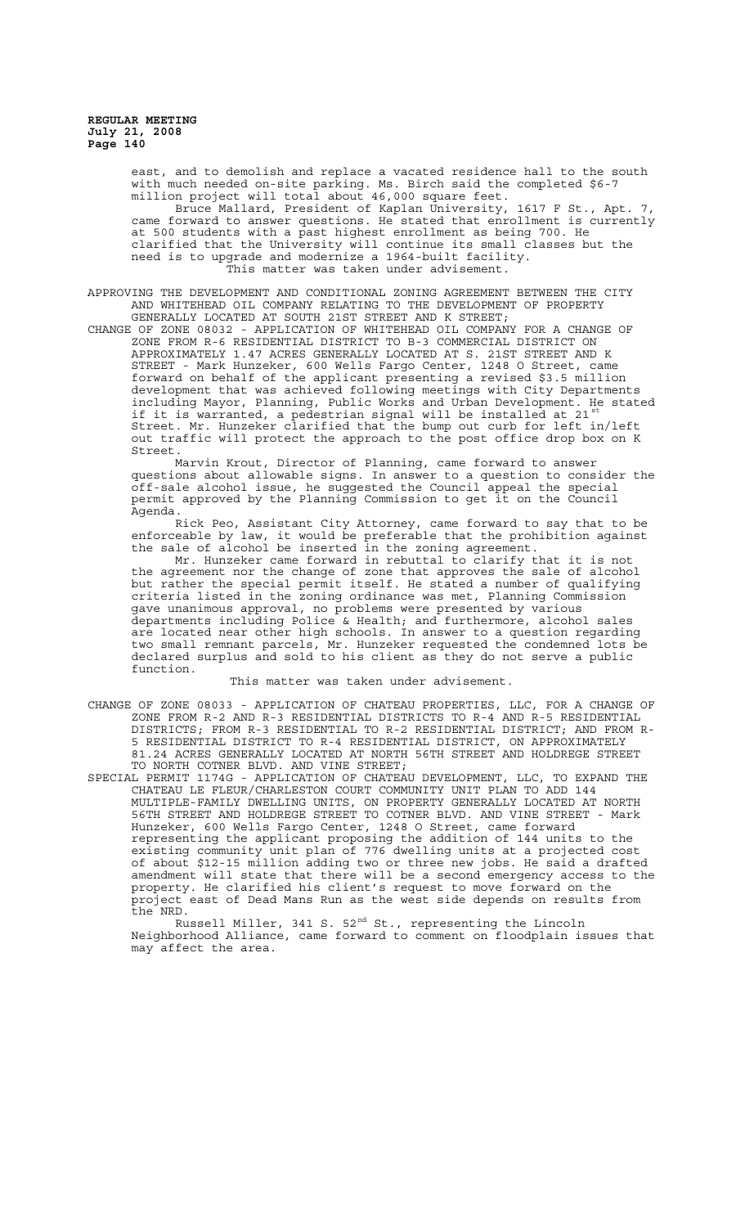> east, and to demolish and replace a vacated residence hall to the south with much needed on-site parking. Ms. Birch said the completed \$6-7 million project will total about 46,000 square feet. Bruce Mallard, President of Kaplan University, 1617 F St., Apt. 7, came forward to answer questions. He stated that enrollment is currently at 500 students with a past highest enrollment as being 700. He clarified that the University will continue its small classes but the need is to upgrade and modernize a 1964-built facility. This matter was taken under advisement.

APPROVING THE DEVELOPMENT AND CONDITIONAL ZONING AGREEMENT BETWEEN THE CITY AND WHITEHEAD OIL COMPANY RELATING TO THE DEVELOPMENT OF PROPERTY GENERALLY LOCATED AT SOUTH 21ST STREET AND K STREET;

CHANGE OF ZONE 08032 - APPLICATION OF WHITEHEAD OIL COMPANY FOR A CHANGE OF ZONE FROM R-6 RESIDENTIAL DISTRICT TO B-3 COMMERCIAL DISTRICT ON APPROXIMATELY 1.47 ACRES GENERALLY LOCATED AT S. 21ST STREET AND K STREET - Mark Hunzeker, 600 Wells Fargo Center, 1248 O Street, came forward on behalf of the applicant presenting a revised \$3.5 million development that was achieved following meetings with City Departments including Mayor, Planning, Public Works and Urban Development. He stated if it is warranted, a pedestrian signal will be installed at 21st Street. Mr. Hunzeker clarified that the bump out curb for left in/left out traffic will protect the approach to the post office drop box on K Street.

Marvin Krout, Director of Planning, came forward to answer questions about allowable signs. In answer to a question to consider the off-sale alcohol issue, he suggested the Council appeal the special permit approved by the Planning Commission to get it on the Council Agenda.

Rick Peo, Assistant City Attorney, came forward to say that to be enforceable by law, it would be preferable that the prohibition against the sale of alcohol be inserted in the zoning agreement.

Mr. Hunzeker came forward in rebuttal to clarify that it is not the agreement nor the change of zone that approves the sale of alcohol but rather the special permit itself. He stated a number of qualifying criteria listed in the zoning ordinance was met, Planning Commission gave unanimous approval, no problems were presented by various departments including Police & Health; and furthermore, alcohol sales are located near other high schools. In answer to a question regarding two small remnant parcels, Mr. Hunzeker requested the condemned lots be declared surplus and sold to his client as they do not serve a public function.

This matter was taken under advisement.

- CHANGE OF ZONE 08033 APPLICATION OF CHATEAU PROPERTIES, LLC, FOR A CHANGE OF ZONE FROM R-2 AND R-3 RESIDENTIAL DISTRICTS TO R-4 AND R-5 RESIDENTIAL DISTRICTS; FROM R-3 RESIDENTIAL TO R-2 RESIDENTIAL DISTRICT; AND FROM R-5 RESIDENTIAL DISTRICT TO R-4 RESIDENTIAL DISTRICT, ON APPROXIMATELY 81.24 ACRES GENERALLY LOCATED AT NORTH 56TH STREET AND HOLDREGE STREET TO NORTH COTNER BLVD. AND VINE STREET;
- SPECIAL PERMIT 1174G APPLICATION OF CHATEAU DEVELOPMENT, LLC, TO EXPAND THE CHATEAU LE FLEUR/CHARLESTON COURT COMMUNITY UNIT PLAN TO ADD 144 MULTIPLE-FAMILY DWELLING UNITS, ON PROPERTY GENERALLY LOCATED AT NORTH 56TH STREET AND HOLDREGE STREET TO COTNER BLVD. AND VINE STREET - Mark Hunzeker, 600 Wells Fargo Center, 1248 O Street, came forward representing the applicant proposing the addition of 144 units to the existing community unit plan of 776 dwelling units at a projected cost of about \$12-15 million adding two or three new jobs. He said a drafted amendment will state that there will be a second emergency access to the property. He clarified his client's request to move forward on the project east of Dead Mans Run as the west side depends on results from the NRD.

Russell Miller, 341 S. 52<sup>nd</sup> St., representing the Lincoln Neighborhood Alliance, came forward to comment on floodplain issues that may affect the area.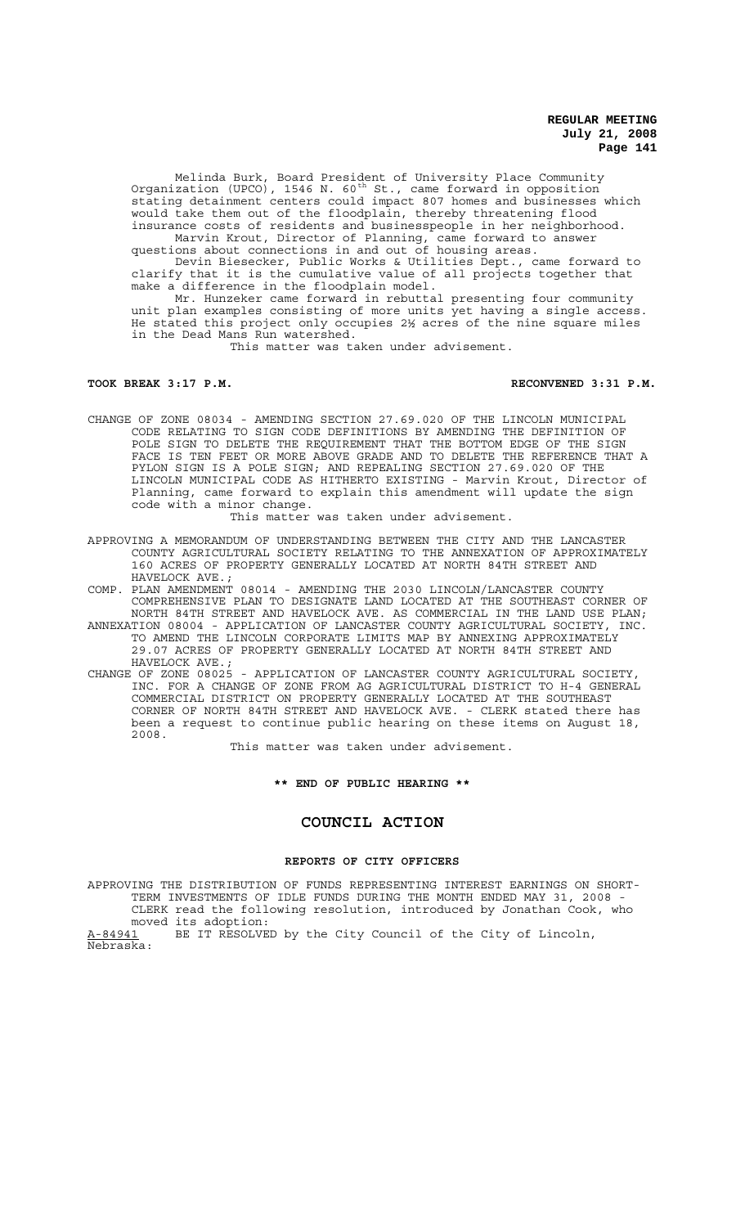Melinda Burk, Board President of University Place Community Organization (UPCO), 1546 N. 60<sup>th</sup> St., came forward in opposition stating detainment centers could impact 807 homes and businesses which would take them out of the floodplain, thereby threatening flood insurance costs of residents and businesspeople in her neighborhood.

Marvin Krout, Director of Planning, came forward to answer questions about connections in and out of housing areas.

Devin Biesecker, Public Works & Utilities Dept., came forward to clarify that it is the cumulative value of all projects together that make a difference in the floodplain model.

Mr. Hunzeker came forward in rebuttal presenting four community unit plan examples consisting of more units yet having a single access. He stated this project only occupies 2½ acres of the nine square miles in the Dead Mans Run watershed.

This matter was taken under advisement.

**TOOK BREAK 3:17 P.M. RECONVENED 3:31 P.M.**

CHANGE OF ZONE 08034 - AMENDING SECTION 27.69.020 OF THE LINCOLN MUNICIPAL CODE RELATING TO SIGN CODE DEFINITIONS BY AMENDING THE DEFINITION OF POLE SIGN TO DELETE THE REQUIREMENT THAT THE BOTTOM EDGE OF THE SIGN FACE IS TEN FEET OR MORE ABOVE GRADE AND TO DELETE THE REFERENCE THAT A PYLON SIGN IS A POLE SIGN; AND REPEALING SECTION 27.69.020 OF THE LINCOLN MUNICIPAL CODE AS HITHERTO EXISTING - Marvin Krout, Director of Planning, came forward to explain this amendment will update the sign code with a minor change.

This matter was taken under advisement.

APPROVING A MEMORANDUM OF UNDERSTANDING BETWEEN THE CITY AND THE LANCASTER COUNTY AGRICULTURAL SOCIETY RELATING TO THE ANNEXATION OF APPROXIMATELY 160 ACRES OF PROPERTY GENERALLY LOCATED AT NORTH 84TH STREET AND HAVELOCK AVE.;

COMP. PLAN AMENDMENT 08014 - AMENDING THE 2030 LINCOLN/LANCASTER COUNTY COMPREHENSIVE PLAN TO DESIGNATE LAND LOCATED AT THE SOUTHEAST CORNER OF NORTH 84TH STREET AND HAVELOCK AVE. AS COMMERCIAL IN THE LAND USE PLAN;

- ANNEXATION 08004 APPLICATION OF LANCASTER COUNTY AGRICULTURAL SOCIETY, INC. TO AMEND THE LINCOLN CORPORATE LIMITS MAP BY ANNEXING APPROXIMATELY 29.07 ACRES OF PROPERTY GENERALLY LOCATED AT NORTH 84TH STREET AND HAVELOCK AVE.;
- CHANGE OF ZONE 08025 APPLICATION OF LANCASTER COUNTY AGRICULTURAL SOCIETY, INC. FOR A CHANGE OF ZONE FROM AG AGRICULTURAL DISTRICT TO H-4 GENERAL COMMERCIAL DISTRICT ON PROPERTY GENERALLY LOCATED AT THE SOUTHEAST CORNER OF NORTH 84TH STREET AND HAVELOCK AVE. - CLERK stated there has been a request to continue public hearing on these items on August 18, 2008.

This matter was taken under advisement.

**\*\* END OF PUBLIC HEARING \*\***

# **COUNCIL ACTION**

# **REPORTS OF CITY OFFICERS**

APPROVING THE DISTRIBUTION OF FUNDS REPRESENTING INTEREST EARNINGS ON SHORT-TERM INVESTMENTS OF IDLE FUNDS DURING THE MONTH ENDED MAY 31, 2008 - CLERK read the following resolution, introduced by Jonathan Cook, who moved its adoption:

A-84941 BE IT RESOLVED by the City Council of the City of Lincoln, Nebraska: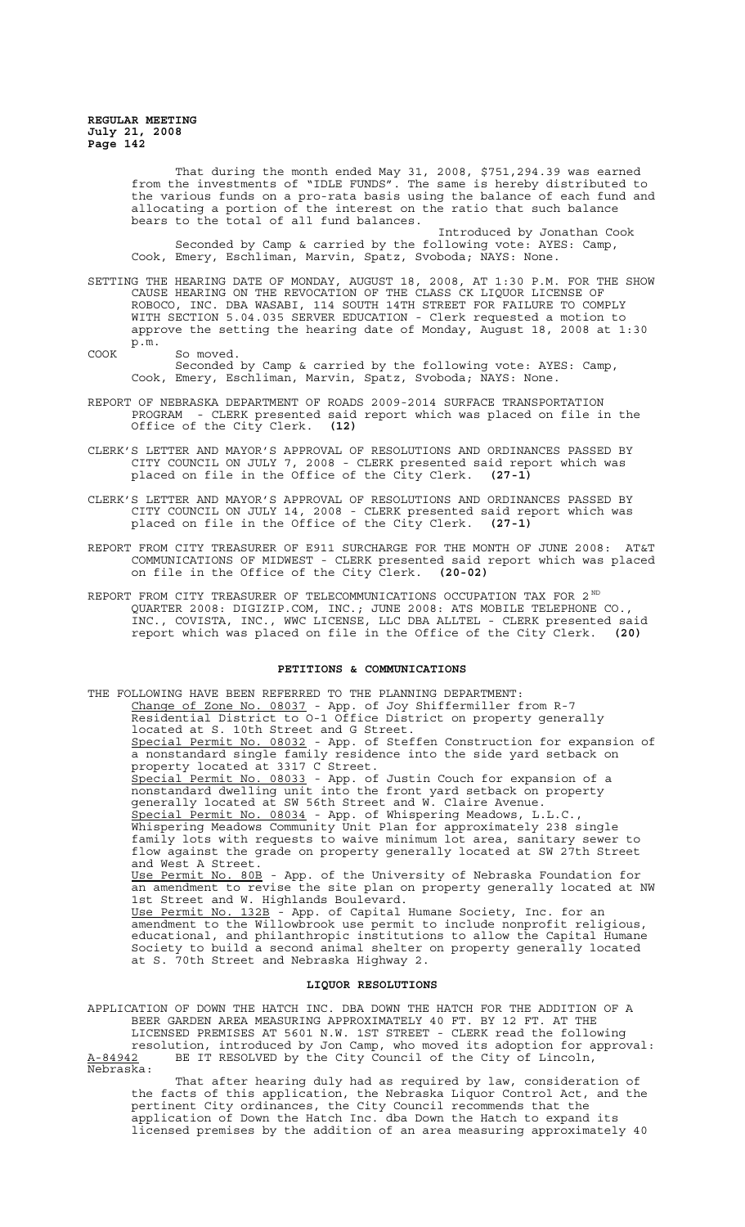Nebraska:

That during the month ended May 31, 2008, \$751,294.39 was earned from the investments of "IDLE FUNDS". The same is hereby distributed to the various funds on a pro-rata basis using the balance of each fund and allocating a portion of the interest on the ratio that such balance bears to the total of all fund balances.

Introduced by Jonathan Cook Seconded by Camp & carried by the following vote: AYES: Camp, Cook, Emery, Eschliman, Marvin, Spatz, Svoboda; NAYS: None.

SETTING THE HEARING DATE OF MONDAY, AUGUST 18, 2008, AT 1:30 P.M. FOR THE SHOW CAUSE HEARING ON THE REVOCATION OF THE CLASS CK LIQUOR LICENSE OF ROBOCO, INC. DBA WASABI, 114 SOUTH 14TH STREET FOR FAILURE TO COMPLY WITH SECTION 5.04.035 SERVER EDUCATION - Clerk requested a motion to approve the setting the hearing date of Monday, August 18, 2008 at 1:30 p.m.

COOK So moved. Seconded by Camp & carried by the following vote: AYES: Camp, Cook, Emery, Eschliman, Marvin, Spatz, Svoboda; NAYS: None.

- REPORT OF NEBRASKA DEPARTMENT OF ROADS 2009-2014 SURFACE TRANSPORTATION PROGRAM - CLERK presented said report which was placed on file in the Office of the City Clerk. **(12)**
- CLERK'S LETTER AND MAYOR'S APPROVAL OF RESOLUTIONS AND ORDINANCES PASSED BY CITY COUNCIL ON JULY 7, 2008 - CLERK presented said report which was placed on file in the Office of the City Clerk. **(27-1)**
- CLERK'S LETTER AND MAYOR'S APPROVAL OF RESOLUTIONS AND ORDINANCES PASSED BY CITY COUNCIL ON JULY 14, 2008 - CLERK presented said report which was placed on file in the Office of the City Clerk. **(27-1)**
- REPORT FROM CITY TREASURER OF E911 SURCHARGE FOR THE MONTH OF JUNE 2008: AT&T COMMUNICATIONS OF MIDWEST - CLERK presented said report which was placed on file in the Office of the City Clerk. **(20-02)**
- REPORT FROM CITY TREASURER OF TELECOMMUNICATIONS OCCUPATION TAX FOR 2 $^{ND}$ QUARTER 2008: DIGIZIP.COM, INC.; JUNE 2008: ATS MOBILE TELEPHONE CO., INC., COVISTA, INC., WWC LICENSE, LLC DBA ALLTEL - CLERK presented said report which was placed on file in the Office of the City Clerk. **(20)**

## **PETITIONS & COMMUNICATIONS**

THE FOLLOWING HAVE BEEN REFERRED TO THE PLANNING DEPARTMENT: Change of Zone No. 08037 - App. of Joy Shiffermiller from R-7 Residential District to O-1 Office District on property generally located at S. 10th Street and G Street. Special Permit No. 08032 - App. of Steffen Construction for expansion of a nonstandard single family residence into the side yard setback on property located at 3317 C Street. Special Permit No. 08033 - App. of Justin Couch for expansion of a nonstandard dwelling unit into the front yard setback on property generally located at SW 56th Street and W. Claire Avenue. Special Permit No. 08034 - App. of Whispering Meadows, L.L.C. Whispering Meadows Community Unit Plan for approximately 238 single family lots with requests to waive minimum lot area, sanitary sewer to flow against the grade on property generally located at SW 27th Street and West A Street. Use Permit No. 80B - App. of the University of Nebraska Foundation for an amendment to revise the site plan on property generally located at NW 1st Street and W. Highlands Boulevard. Use Permit No. 132B - App. of Capital Humane Society, Inc. for an amendment to the Willowbrook use permit to include nonprofit religious, educational, and philanthropic institutions to allow the Capital Humane Society to build a second animal shelter on property generally located at S. 70th Street and Nebraska Highway 2.

#### **LIQUOR RESOLUTIONS**

APPLICATION OF DOWN THE HATCH INC. DBA DOWN THE HATCH FOR THE ADDITION OF A BEER GARDEN AREA MEASURING APPROXIMATELY 40 FT. BY 12 FT. AT THE LICENSED PREMISES AT 5601 N.W. 1ST STREET - CLERK read the following resolution, introduced by Jon Camp, who moved its adoption for approval: A-84942 BE IT RESOLVED by the City Council of the City of Lincoln,

That after hearing duly had as required by law, consideration of the facts of this application, the Nebraska Liquor Control Act, and the pertinent City ordinances, the City Council recommends that the application of Down the Hatch Inc. dba Down the Hatch to expand its licensed premises by the addition of an area measuring approximately 40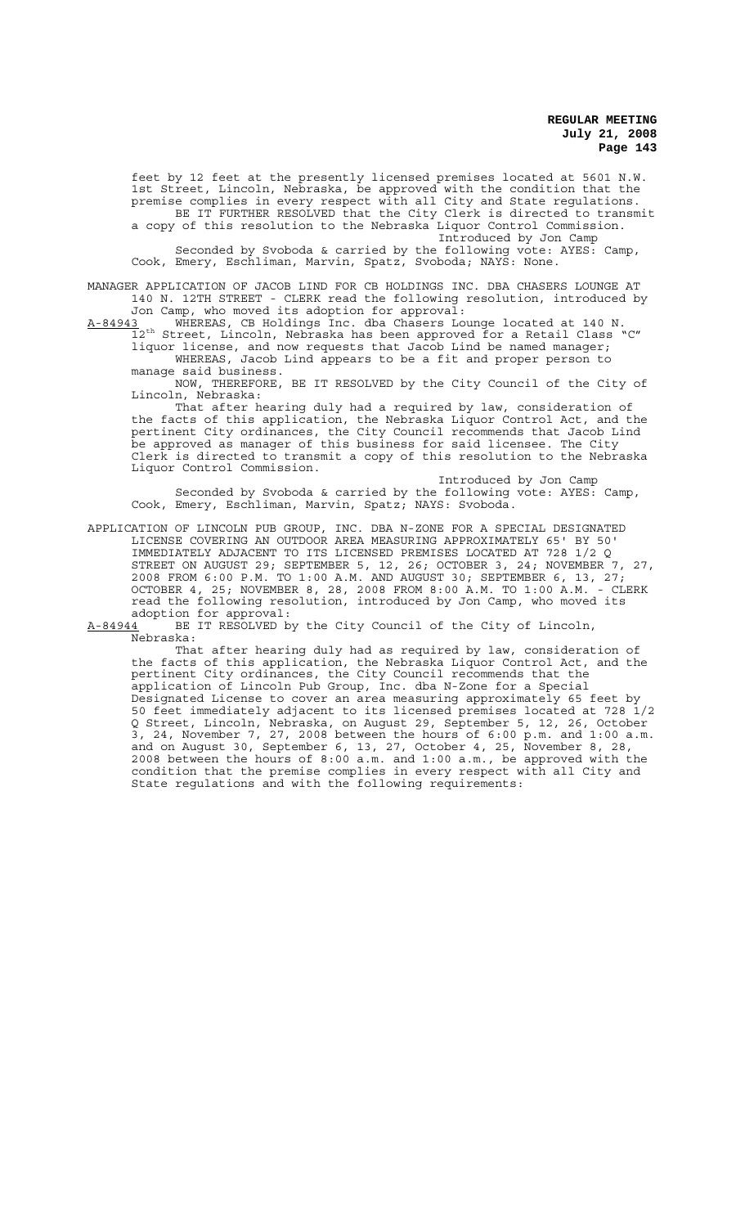feet by 12 feet at the presently licensed premises located at 5601 N.W. 1st Street, Lincoln, Nebraska, be approved with the condition that the premise complies in every respect with all City and State regulations. BE IT FURTHER RESOLVED that the City Clerk is directed to transmit a copy of this resolution to the Nebraska Liquor Control Commission. Introduced by Jon Camp

Seconded by Svoboda & carried by the following vote: AYES: Camp, Cook, Emery, Eschliman, Marvin, Spatz, Svoboda; NAYS: None.

MANAGER APPLICATION OF JACOB LIND FOR CB HOLDINGS INC. DBA CHASERS LOUNGE AT 140 N. 12TH STREET - CLERK read the following resolution, introduced by Jon Camp, who moved its adoption for approval:

A-84943 WHEREAS, CB Holdings Inc. dba Chasers Lounge located at 140 N.<br>12<sup>th</sup> Street, Lincoln, Nebraska has been approved for a Retail Class "C" 12<sup>th</sup> Street, Lincoln, Nebraska has been approved for a Retail Class liquor license, and now requests that Jacob Lind be named manager; WHEREAS, Jacob Lind appears to be a fit and proper person to manage said business.

NOW, THEREFORE, BE IT RESOLVED by the City Council of the City of Lincoln, Nebraska:

That after hearing duly had a required by law, consideration of the facts of this application, the Nebraska Liquor Control Act, and the pertinent City ordinances, the City Council recommends that Jacob Lind be approved as manager of this business for said licensee. The City Clerk is directed to transmit a copy of this resolution to the Nebraska Liquor Control Commission.

Introduced by Jon Camp Seconded by Svoboda & carried by the following vote: AYES: Camp, Cook, Emery, Eschliman, Marvin, Spatz; NAYS: Svoboda.

APPLICATION OF LINCOLN PUB GROUP, INC. DBA N-ZONE FOR A SPECIAL DESIGNATED LICENSE COVERING AN OUTDOOR AREA MEASURING APPROXIMATELY 65' BY 50' IMMEDIATELY ADJACENT TO ITS LICENSED PREMISES LOCATED AT 728 1/2 Q STREET ON AUGUST 29; SEPTEMBER 5, 12, 26; OCTOBER 3, 24; NOVEMBER 7, 27, 2008 FROM 6:00 P.M. TO 1:00 A.M. AND AUGUST 30; SEPTEMBER 6, 13, 27; OCTOBER 4, 25; NOVEMBER 8, 28, 2008 FROM 8:00 A.M. TO 1:00 A.M. - CLERK read the following resolution, introduced by Jon Camp, who moved its<br>read the following resolution, introduced by Jon Camp, who moved its adoption for approval:

A-84944 BE IT RESOLVED by the City Council of the City of Lincoln, Nebraska:

That after hearing duly had as required by law, consideration of the facts of this application, the Nebraska Liquor Control Act, and the pertinent City ordinances, the City Council recommends that the application of Lincoln Pub Group, Inc. dba N-Zone for a Special Designated License to cover an area measuring approximately 65 feet by 50 feet immediately adjacent to its licensed premises located at 728 1/2 Q Street, Lincoln, Nebraska, on August 29, September 5, 12, 26, October 3, 24, November 7, 27, 2008 between the hours of 6:00 p.m. and 1:00 a.m. and on August 30, September 6, 13, 27, October 4, 25, November 8, 28, 2008 between the hours of 8:00 a.m. and 1:00 a.m., be approved with the condition that the premise complies in every respect with all City and State regulations and with the following requirements: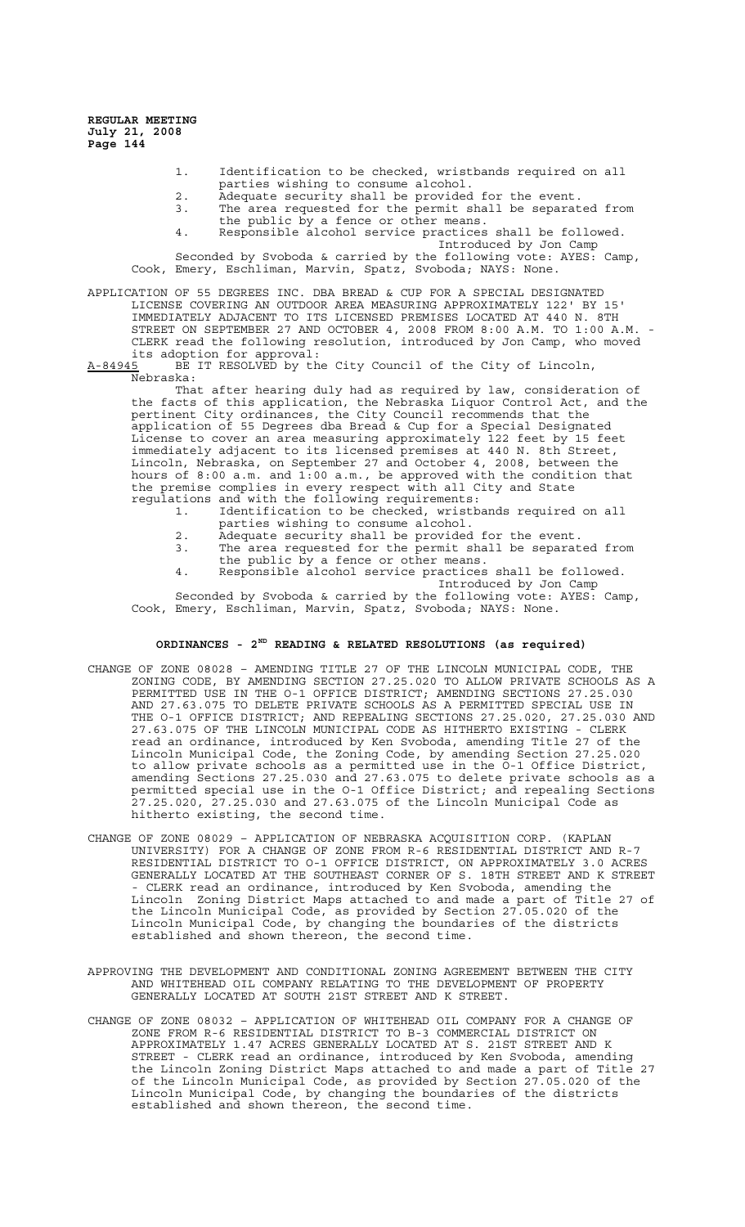- 1. Identification to be checked, wristbands required on all parties wishing to consume alcohol.
- 2. Adequate security shall be provided for the event.<br>3. The area requested for the permit shall be separat
- The area requested for the permit shall be separated from the public by a fence or other means.
- 4. Responsible alcohol service practices shall be followed. Introduced by Jon Camp

Seconded by Svoboda & carried by the following vote: AYES: Camp, Cook, Emery, Eschliman, Marvin, Spatz, Svoboda; NAYS: None.

APPLICATION OF 55 DEGREES INC. DBA BREAD & CUP FOR A SPECIAL DESIGNATED LICENSE COVERING AN OUTDOOR AREA MEASURING APPROXIMATELY 122' BY 15' IMMEDIATELY ADJACENT TO ITS LICENSED PREMISES LOCATED AT 440 N. 8TH STREET ON SEPTEMBER 27 AND OCTOBER 4, 2008 FROM 8:00 A.M. TO 1:00 A.M. - CLERK read the following resolution, introduced by Jon Camp, who moved its adoption for approval:

A-84945 BE IT RESOLVED by the City Council of the City of Lincoln, Nebraska:

That after hearing duly had as required by law, consideration of the facts of this application, the Nebraska Liquor Control Act, and the pertinent City ordinances, the City Council recommends that the application of 55 Degrees dba Bread & Cup for a Special Designated License to cover an area measuring approximately 122 feet by 15 feet immediately adjacent to its licensed premises at 440 N. 8th Street, Lincoln, Nebraska, on September 27 and October 4, 2008, between the hours of 8:00 a.m. and 1:00 a.m., be approved with the condition that the premise complies in every respect with all City and State regulations and with the following requirements:

- 1. Identification to be checked, wristbands required on all parties wishing to consume alcohol.
- 2. Adequate security shall be provided for the event.<br>3. The area requested for the permit shall be separat
- The area requested for the permit shall be separated from the public by a fence or other means.
- 4. Responsible alcohol service practices shall be followed. Introduced by Jon Camp

Seconded by Svoboda & carried by the following vote: AYES: Camp, Cook, Emery, Eschliman, Marvin, Spatz, Svoboda; NAYS: None.

# **ORDINANCES - 2ND READING & RELATED RESOLUTIONS (as required)**

- CHANGE OF ZONE 08028 AMENDING TITLE 27 OF THE LINCOLN MUNICIPAL CODE, THE ZONING CODE, BY AMENDING SECTION 27.25.020 TO ALLOW PRIVATE SCHOOLS AS A PERMITTED USE IN THE O-1 OFFICE DISTRICT; AMENDING SECTIONS 27.25.030 AND 27.63.075 TO DELETE PRIVATE SCHOOLS AS A PERMITTED SPECIAL USE IN THE O-1 OFFICE DISTRICT; AND REPEALING SECTIONS 27.25.020, 27.25.030 AND 27.63.075 OF THE LINCOLN MUNICIPAL CODE AS HITHERTO EXISTING - CLERK read an ordinance, introduced by Ken Svoboda, amending Title 27 of the Lincoln Municipal Code, the Zoning Code, by amending Section 27.25.020 to allow private schools as a permitted use in the O-1 Office District, amending Sections 27.25.030 and 27.63.075 to delete private schools as a permitted special use in the O-1 Office District; and repealing Sections 27.25.020, 27.25.030 and 27.63.075 of the Lincoln Municipal Code as hitherto existing, the second time.
- CHANGE OF ZONE 08029 APPLICATION OF NEBRASKA ACQUISITION CORP. (KAPLAN UNIVERSITY) FOR A CHANGE OF ZONE FROM R-6 RESIDENTIAL DISTRICT AND R-7 RESIDENTIAL DISTRICT TO O-1 OFFICE DISTRICT, ON APPROXIMATELY 3.0 ACRES GENERALLY LOCATED AT THE SOUTHEAST CORNER OF S. 18TH STREET AND K STREET - CLERK read an ordinance, introduced by Ken Svoboda, amending the Lincoln Zoning District Maps attached to and made a part of Title 27 of the Lincoln Municipal Code, as provided by Section 27.05.020 of the Lincoln Municipal Code, by changing the boundaries of the districts established and shown thereon, the second time.
- APPROVING THE DEVELOPMENT AND CONDITIONAL ZONING AGREEMENT BETWEEN THE CITY AND WHITEHEAD OIL COMPANY RELATING TO THE DEVELOPMENT OF PROPERTY GENERALLY LOCATED AT SOUTH 21ST STREET AND K STREET.
- CHANGE OF ZONE 08032 APPLICATION OF WHITEHEAD OIL COMPANY FOR A CHANGE OF ZONE FROM R-6 RESIDENTIAL DISTRICT TO B-3 COMMERCIAL DISTRICT ON APPROXIMATELY 1.47 ACRES GENERALLY LOCATED AT S. 21ST STREET AND K STREET - CLERK read an ordinance, introduced by Ken Svoboda, amending the Lincoln Zoning District Maps attached to and made a part of Title 27 of the Lincoln Municipal Code, as provided by Section 27.05.020 of the Lincoln Municipal Code, by changing the boundaries of the districts established and shown thereon, the second time.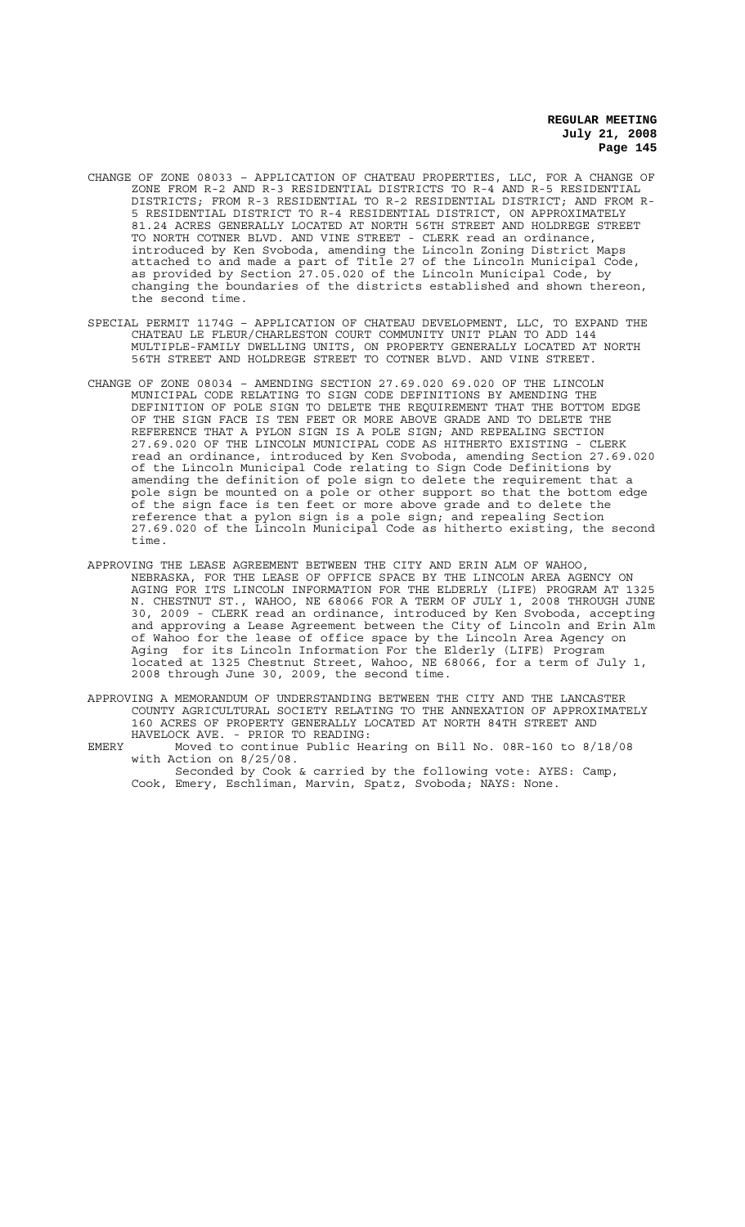- CHANGE OF ZONE 08033 APPLICATION OF CHATEAU PROPERTIES, LLC, FOR A CHANGE OF ZONE FROM R-2 AND R-3 RESIDENTIAL DISTRICTS TO R-4 AND R-5 RESIDENTIAL DISTRICTS; FROM R-3 RESIDENTIAL TO R-2 RESIDENTIAL DISTRICT; AND FROM R-5 RESIDENTIAL DISTRICT TO R-4 RESIDENTIAL DISTRICT, ON APPROXIMATELY 81.24 ACRES GENERALLY LOCATED AT NORTH 56TH STREET AND HOLDREGE STREET TO NORTH COTNER BLVD. AND VINE STREET - CLERK read an ordinance, introduced by Ken Svoboda, amending the Lincoln Zoning District Maps attached to and made a part of Title 27 of the Lincoln Municipal Code, as provided by Section 27.05.020 of the Lincoln Municipal Code, by changing the boundaries of the districts established and shown thereon, the second time.
- SPECIAL PERMIT 1174G APPLICATION OF CHATEAU DEVELOPMENT, LLC, TO EXPAND THE CHATEAU LE FLEUR/CHARLESTON COURT COMMUNITY UNIT PLAN TO ADD 144 MULTIPLE-FAMILY DWELLING UNITS, ON PROPERTY GENERALLY LOCATED AT NORTH 56TH STREET AND HOLDREGE STREET TO COTNER BLVD. AND VINE STREET.
- CHANGE OF ZONE 08034 AMENDING SECTION 27.69.020 69.020 OF THE LINCOLN MUNICIPAL CODE RELATING TO SIGN CODE DEFINITIONS BY AMENDING THE DEFINITION OF POLE SIGN TO DELETE THE REQUIREMENT THAT THE BOTTOM EDGE OF THE SIGN FACE IS TEN FEET OR MORE ABOVE GRADE AND TO DELETE THE REFERENCE THAT A PYLON SIGN IS A POLE SIGN; AND REPEALING SECTION 27.69.020 OF THE LINCOLN MUNICIPAL CODE AS HITHERTO EXISTING - CLERK read an ordinance, introduced by Ken Svoboda, amending Section 27.69.020 of the Lincoln Municipal Code relating to Sign Code Definitions by amending the definition of pole sign to delete the requirement that a pole sign be mounted on a pole or other support so that the bottom edge of the sign face is ten feet or more above grade and to delete the reference that a pylon sign is a pole sign; and repealing Section 27.69.020 of the Lincoln Municipal Code as hitherto existing, the second time.
- APPROVING THE LEASE AGREEMENT BETWEEN THE CITY AND ERIN ALM OF WAHOO, NEBRASKA, FOR THE LEASE OF OFFICE SPACE BY THE LINCOLN AREA AGENCY ON AGING FOR ITS LINCOLN INFORMATION FOR THE ELDERLY (LIFE) PROGRAM AT 1325 N. CHESTNUT ST., WAHOO, NE 68066 FOR A TERM OF JULY 1, 2008 THROUGH JUNE 30, 2009 - CLERK read an ordinance, introduced by Ken Svoboda, accepting and approving a Lease Agreement between the City of Lincoln and Erin Alm of Wahoo for the lease of office space by the Lincoln Area Agency on<br>Aging for its Lincoln Information For the Elderly (LIFE) Program for its Lincoln Information For the Elderly (LIFE) Program located at 1325 Chestnut Street, Wahoo, NE 68066, for a term of July 1, 2008 through June 30, 2009, the second time.
- APPROVING A MEMORANDUM OF UNDERSTANDING BETWEEN THE CITY AND THE LANCASTER COUNTY AGRICULTURAL SOCIETY RELATING TO THE ANNEXATION OF APPROXIMATELY 160 ACRES OF PROPERTY GENERALLY LOCATED AT NORTH 84TH STREET AND HAVELOCK AVE. - PRIOR TO READING:
- EMERY Moved to continue Public Hearing on Bill No. 08R-160 to 8/18/08 with Action on 8/25/08.

Seconded by Cook & carried by the following vote: AYES: Camp, Cook, Emery, Eschliman, Marvin, Spatz, Svoboda; NAYS: None.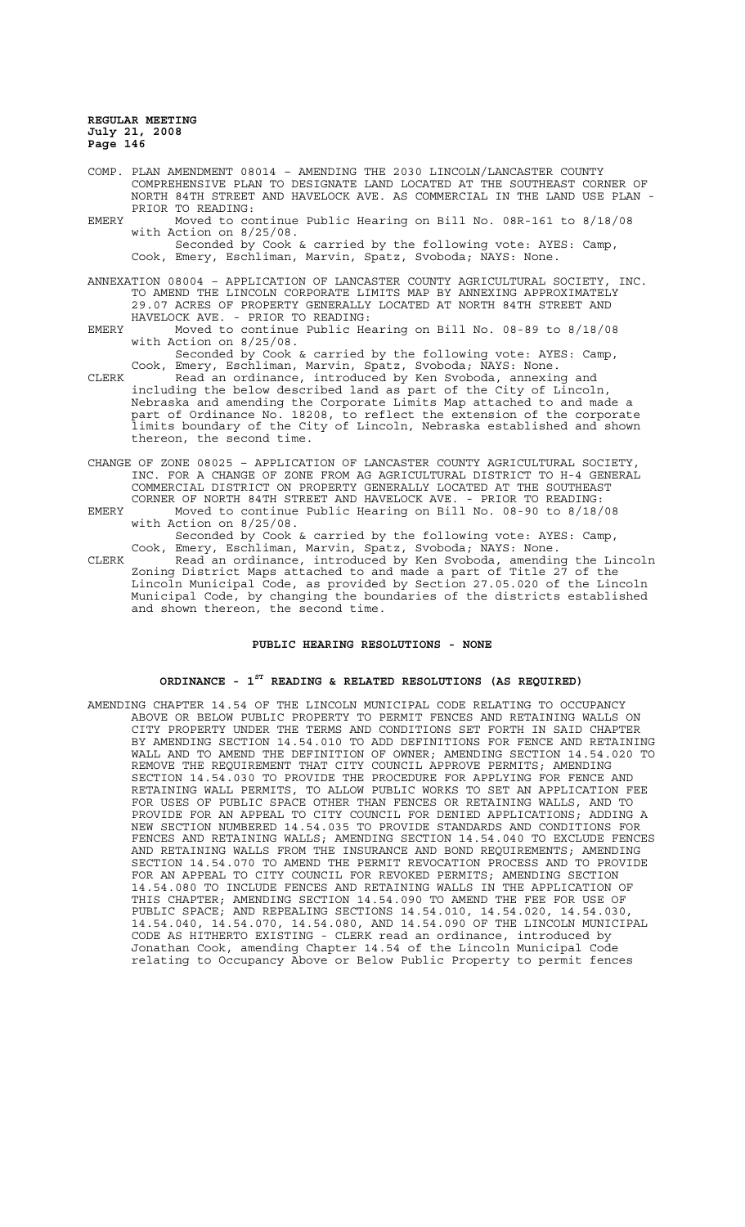- COMP. PLAN AMENDMENT 08014 AMENDING THE 2030 LINCOLN/LANCASTER COUNTY COMPREHENSIVE PLAN TO DESIGNATE LAND LOCATED AT THE SOUTHEAST CORNER OF NORTH 84TH STREET AND HAVELOCK AVE. AS COMMERCIAL IN THE LAND USE PLAN - PRIOR TO READING:
- EMERY Moved to continue Public Hearing on Bill No. 08R-161 to 8/18/08 with Action on 8/25/08. Seconded by Cook & carried by the following vote: AYES: Camp,

Cook, Emery, Eschliman, Marvin, Spatz, Svoboda; NAYS: None.

ANNEXATION 08004 – APPLICATION OF LANCASTER COUNTY AGRICULTURAL SOCIETY, INC. TO AMEND THE LINCOLN CORPORATE LIMITS MAP BY ANNEXING APPROXIMATELY 29.07 ACRES OF PROPERTY GENERALLY LOCATED AT NORTH 84TH STREET AND HAVELOCK AVE. - PRIOR TO READING:

EMERY Moved to continue Public Hearing on Bill No. 08-89 to 8/18/08 with Action on 8/25/08.

Seconded by Cook & carried by the following vote: AYES: Camp, Cook, Emery, Eschliman, Marvin, Spatz, Svoboda; NAYS: None.

- CLERK Read an ordinance, introduced by Ken Svoboda, annexing and including the below described land as part of the City of Lincoln, Nebraska and amending the Corporate Limits Map attached to and made a part of Ordinance No. 18208, to reflect the extension of the corporate limits boundary of the City of Lincoln, Nebraska established and shown thereon, the second time.
- CHANGE OF ZONE 08025 APPLICATION OF LANCASTER COUNTY AGRICULTURAL SOCIETY, INC. FOR A CHANGE OF ZONE FROM AG AGRICULTURAL DISTRICT TO H-4 GENERAL COMMERCIAL DISTRICT ON PROPERTY GENERALLY LOCATED AT THE SOUTHEAST CORNER OF NORTH 84TH STREET AND HAVELOCK AVE. - PRIOR TO READING:
- EMERY Moved to continue Public Hearing on Bill No. 08-90 to 8/18/08 with Action on 8/25/08. Seconded by Cook & carried by the following vote: AYES: Camp,
- Cook, Emery, Eschliman, Marvin, Spatz, Svoboda; NAYS: None. CLERK Read an ordinance, introduced by Ken Svoboda, amending the Lincoln Zoning District Maps attached to and made a part of Title 27 of the Lincoln Municipal Code, as provided by Section 27.05.020 of the Lincoln Municipal Code, by changing the boundaries of the districts established and shown thereon, the second time.

#### **PUBLIC HEARING RESOLUTIONS - NONE**

# **ORDINANCE - 1ST READING & RELATED RESOLUTIONS (AS REQUIRED)**

AMENDING CHAPTER 14.54 OF THE LINCOLN MUNICIPAL CODE RELATING TO OCCUPANCY ABOVE OR BELOW PUBLIC PROPERTY TO PERMIT FENCES AND RETAINING WALLS ON CITY PROPERTY UNDER THE TERMS AND CONDITIONS SET FORTH IN SAID CHAPTER BY AMENDING SECTION 14.54.010 TO ADD DEFINITIONS FOR FENCE AND RETAINING WALL AND TO AMEND THE DEFINITION OF OWNER; AMENDING SECTION 14.54.020 TO REMOVE THE REQUIREMENT THAT CITY COUNCIL APPROVE PERMITS; AMENDING SECTION 14.54.030 TO PROVIDE THE PROCEDURE FOR APPLYING FOR FENCE AND RETAINING WALL PERMITS, TO ALLOW PUBLIC WORKS TO SET AN APPLICATION FEE FOR USES OF PUBLIC SPACE OTHER THAN FENCES OR RETAINING WALLS, AND TO PROVIDE FOR AN APPEAL TO CITY COUNCIL FOR DENIED APPLICATIONS; ADDING A NEW SECTION NUMBERED 14.54.035 TO PROVIDE STANDARDS AND CONDITIONS FOR FENCES AND RETAINING WALLS; AMENDING SECTION 14.54.040 TO EXCLUDE FENCES AND RETAINING WALLS FROM THE INSURANCE AND BOND REQUIREMENTS; AMENDING SECTION 14.54.070 TO AMEND THE PERMIT REVOCATION PROCESS AND TO PROVIDE FOR AN APPEAL TO CITY COUNCIL FOR REVOKED PERMITS; AMENDING SECTION 14.54.080 TO INCLUDE FENCES AND RETAINING WALLS IN THE APPLICATION OF THIS CHAPTER; AMENDING SECTION 14.54.090 TO AMEND THE FEE FOR USE OF PUBLIC SPACE; AND REPEALING SECTIONS 14.54.010, 14.54.020, 14.54.030, 14.54.040, 14.54.070, 14.54.080, AND 14.54.090 OF THE LINCOLN MUNICIPAL CODE AS HITHERTO EXISTING - CLERK read an ordinance, introduced by Jonathan Cook, amending Chapter 14.54 of the Lincoln Municipal Code relating to Occupancy Above or Below Public Property to permit fences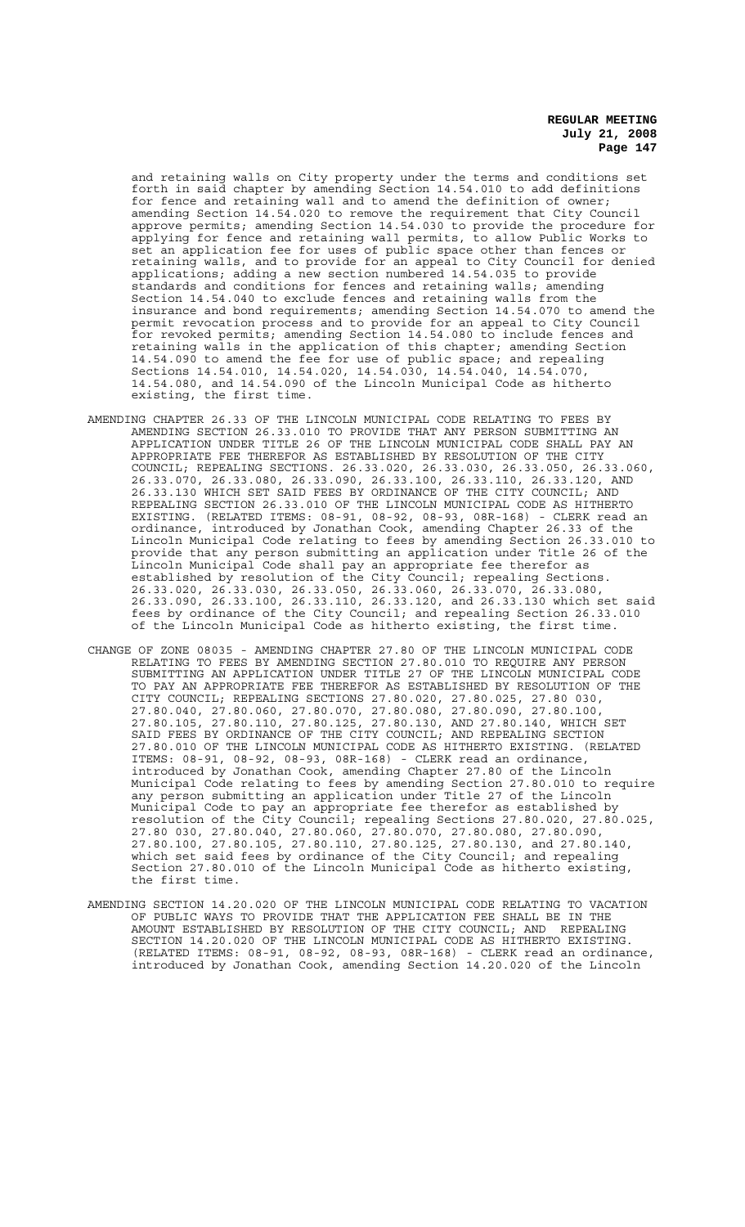and retaining walls on City property under the terms and conditions set forth in said chapter by amending Section 14.54.010 to add definitions for fence and retaining wall and to amend the definition of owner; amending Section 14.54.020 to remove the requirement that City Council approve permits; amending Section 14.54.030 to provide the procedure for applying for fence and retaining wall permits, to allow Public Works to set an application fee for uses of public space other than fences or retaining walls, and to provide for an appeal to City Council for denied applications; adding a new section numbered 14.54.035 to provide standards and conditions for fences and retaining walls; amending Section 14.54.040 to exclude fences and retaining walls from the insurance and bond requirements; amending Section 14.54.070 to amend the permit revocation process and to provide for an appeal to City Council for revoked permits; amending Section 14.54.080 to include fences and retaining walls in the application of this chapter; amending Section 14.54.090 to amend the fee for use of public space; and repealing Sections 14.54.010, 14.54.020, 14.54.030, 14.54.040, 14.54.070, 14.54.080, and 14.54.090 of the Lincoln Municipal Code as hitherto existing, the first time.

- AMENDING CHAPTER 26.33 OF THE LINCOLN MUNICIPAL CODE RELATING TO FEES BY AMENDING SECTION 26.33.010 TO PROVIDE THAT ANY PERSON SUBMITTING AN APPLICATION UNDER TITLE 26 OF THE LINCOLN MUNICIPAL CODE SHALL PAY AN APPROPRIATE FEE THEREFOR AS ESTABLISHED BY RESOLUTION OF THE CITY COUNCIL; REPEALING SECTIONS. 26.33.020, 26.33.030, 26.33.050, 26.33.060, 26.33.070, 26.33.080, 26.33.090, 26.33.100, 26.33.110, 26.33.120, AND 26.33.130 WHICH SET SAID FEES BY ORDINANCE OF THE CITY COUNCIL; AND REPEALING SECTION 26.33.010 OF THE LINCOLN MUNICIPAL CODE AS HITHERTO EXISTING. (RELATED ITEMS: 08-91, 08-92, 08-93, 08R-168) - CLERK read an ordinance, introduced by Jonathan Cook, amending Chapter 26.33 of the Lincoln Municipal Code relating to fees by amending Section 26.33.010 to provide that any person submitting an application under Title 26 of the Lincoln Municipal Code shall pay an appropriate fee therefor as established by resolution of the City Council; repealing Sections. 26.33.020, 26.33.030, 26.33.050, 26.33.060, 26.33.070, 26.33.080, 26.33.090, 26.33.100, 26.33.110, 26.33.120, and 26.33.130 which set said fees by ordinance of the City Council; and repealing Section 26.33.010 of the Lincoln Municipal Code as hitherto existing, the first time.
- CHANGE OF ZONE 08035 AMENDING CHAPTER 27.80 OF THE LINCOLN MUNICIPAL CODE RELATING TO FEES BY AMENDING SECTION 27.80.010 TO REQUIRE ANY PERSON SUBMITTING AN APPLICATION UNDER TITLE 27 OF THE LINCOLN MUNICIPAL CODE TO PAY AN APPROPRIATE FEE THEREFOR AS ESTABLISHED BY RESOLUTION OF THE CITY COUNCIL; REPEALING SECTIONS 27.80.020, 27.80.025, 27.80 030, 27.80.040, 27.80.060, 27.80.070, 27.80.080, 27.80.090, 27.80.100, 27.80.105, 27.80.110, 27.80.125, 27.80.130, AND 27.80.140, WHICH SET SAID FEES BY ORDINANCE OF THE CITY COUNCIL; AND REPEALING SECTION 27.80.010 OF THE LINCOLN MUNICIPAL CODE AS HITHERTO EXISTING. (RELATED ITEMS: 08-91, 08-92, 08-93, 08R-168) - CLERK read an ordinance, introduced by Jonathan Cook, amending Chapter 27.80 of the Lincoln Municipal Code relating to fees by amending Section 27.80.010 to require any person submitting an application under Title 27 of the Lincoln Municipal Code to pay an appropriate fee therefor as established by resolution of the City Council; repealing Sections 27.80.020, 27.80.025, 27.80 030, 27.80.040, 27.80.060, 27.80.070, 27.80.080, 27.80.090, 27.80.100, 27.80.105, 27.80.110, 27.80.125, 27.80.130, and 27.80.140, which set said fees by ordinance of the City Council; and repealing Section 27.80.010 of the Lincoln Municipal Code as hitherto existing, the first time.
- AMENDING SECTION 14.20.020 OF THE LINCOLN MUNICIPAL CODE RELATING TO VACATION OF PUBLIC WAYS TO PROVIDE THAT THE APPLICATION FEE SHALL BE IN THE AMOUNT ESTABLISHED BY RESOLUTION OF THE CITY COUNCIL; AND REPEALING SECTION 14.20.020 OF THE LINCOLN MUNICIPAL CODE AS HITHERTO EXISTING. (RELATED ITEMS: 08-91, 08-92, 08-93, 08R-168) - CLERK read an ordinance, introduced by Jonathan Cook, amending Section 14.20.020 of the Lincoln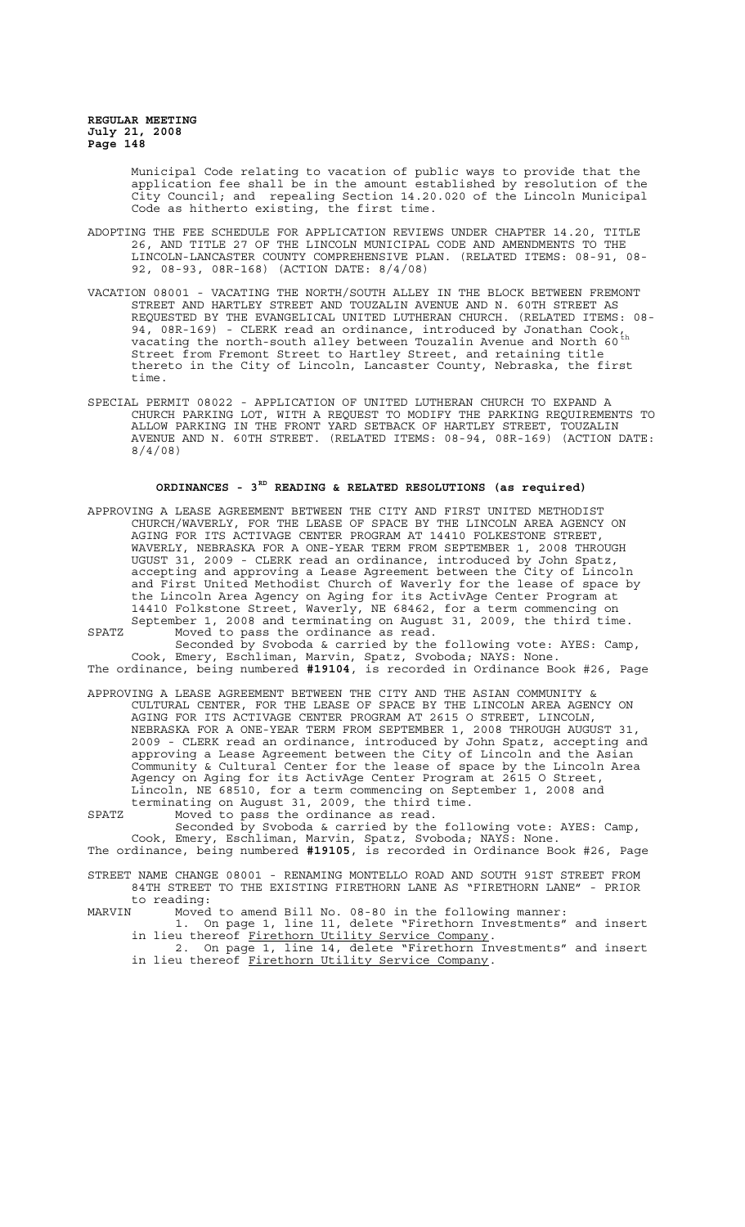> Municipal Code relating to vacation of public ways to provide that the application fee shall be in the amount established by resolution of the City Council; and repealing Section 14.20.020 of the Lincoln Municipal Code as hitherto existing, the first time.

- ADOPTING THE FEE SCHEDULE FOR APPLICATION REVIEWS UNDER CHAPTER 14.20, TITLE 26, AND TITLE 27 OF THE LINCOLN MUNICIPAL CODE AND AMENDMENTS TO THE LINCOLN-LANCASTER COUNTY COMPREHENSIVE PLAN. (RELATED ITEMS: 08-91, 08- 92, 08-93, 08R-168) (ACTION DATE: 8/4/08)
- VACATION 08001 VACATING THE NORTH/SOUTH ALLEY IN THE BLOCK BETWEEN FREMONT STREET AND HARTLEY STREET AND TOUZALIN AVENUE AND N. 60TH STREET AS REQUESTED BY THE EVANGELICAL UNITED LUTHERAN CHURCH. (RELATED ITEMS: 08- 94, 08R-169) - CLERK read an ordinance, introduced by Jonathan Cook, vacating the north-south alley between Touzalin Avenue and North 60<sup>th</sup> Street from Fremont Street to Hartley Street, and retaining title thereto in the City of Lincoln, Lancaster County, Nebraska, the first time.
- SPECIAL PERMIT 08022 APPLICATION OF UNITED LUTHERAN CHURCH TO EXPAND A CHURCH PARKING LOT, WITH A REQUEST TO MODIFY THE PARKING REQUIREMENTS TO ALLOW PARKING IN THE FRONT YARD SETBACK OF HARTLEY STREET, TOUZALIN AVENUE AND N. 60TH STREET. (RELATED ITEMS: 08-94, 08R-169) (ACTION DATE: 8/4/08)

# **ORDINANCES - 3RD READING & RELATED RESOLUTIONS (as required)**

APPROVING A LEASE AGREEMENT BETWEEN THE CITY AND FIRST UNITED METHODIST CHURCH/WAVERLY, FOR THE LEASE OF SPACE BY THE LINCOLN AREA AGENCY ON AGING FOR ITS ACTIVAGE CENTER PROGRAM AT 14410 FOLKESTONE STREET, WAVERLY, NEBRASKA FOR A ONE-YEAR TERM FROM SEPTEMBER 1, 2008 THROUGH UGUST 31, 2009 - CLERK read an ordinance, introduced by John Spatz, accepting and approving a Lease Agreement between the City of Lincoln and First United Methodist Church of Waverly for the lease of space by the Lincoln Area Agency on Aging for its ActivAge Center Program at 14410 Folkstone Street, Waverly, NE 68462, for a term commencing on September 1, 2008 and terminating on August 31, 2009, the third time. SPATZ Moved to pass the ordinance as read.

Seconded by Svoboda & carried by the following vote: AYES: Camp, Cook, Emery, Eschliman, Marvin, Spatz, Svoboda; NAYS: None. The ordinance, being numbered **#19104**, is recorded in Ordinance Book #26, Page

APPROVING A LEASE AGREEMENT BETWEEN THE CITY AND THE ASIAN COMMUNITY & CULTURAL CENTER, FOR THE LEASE OF SPACE BY THE LINCOLN AREA AGENCY ON AGING FOR ITS ACTIVAGE CENTER PROGRAM AT 2615 O STREET, LINCOLN, NEBRASKA FOR A ONE-YEAR TERM FROM SEPTEMBER 1, 2008 THROUGH AUGUST 31, 2009 - CLERK read an ordinance, introduced by John Spatz, accepting and approving a Lease Agreement between the City of Lincoln and the Asian Community & Cultural Center for the lease of space by the Lincoln Area Agency on Aging for its ActivAge Center Program at 2615 O Street, Lincoln, NE 68510, for a term commencing on September 1, 2008 and terminating on August 31, 2009, the third time.

SPATZ Moved to pass the ordinance as read.

Seconded by Svoboda & carried by the following vote: AYES: Camp, Cook, Emery, Eschliman, Marvin, Spatz, Svoboda; NAYS: None. The ordinance, being numbered **#19105**, is recorded in Ordinance Book #26, Page

STREET NAME CHANGE 08001 - RENAMING MONTELLO ROAD AND SOUTH 91ST STREET FROM<br>84TH STREET TO THE EXISTING FIRETHORN LANE AS "FIRETHORN LANE" - PRIOR 84TH STREET TO THE EXISTING FIRETHORN LANE AS "FIRETHORN LANE"

to reading:<br>MARVIN Moved Moved to amend Bill No. 08-80 in the following manner: 1. On page 1, line 11, delete "Firethorn Investments" and insert in lieu thereof Firethorn Utility Service Company.

2. On page 1, line 14, delete "Firethorn Investments" and insert in lieu thereof Firethorn Utility Service Company.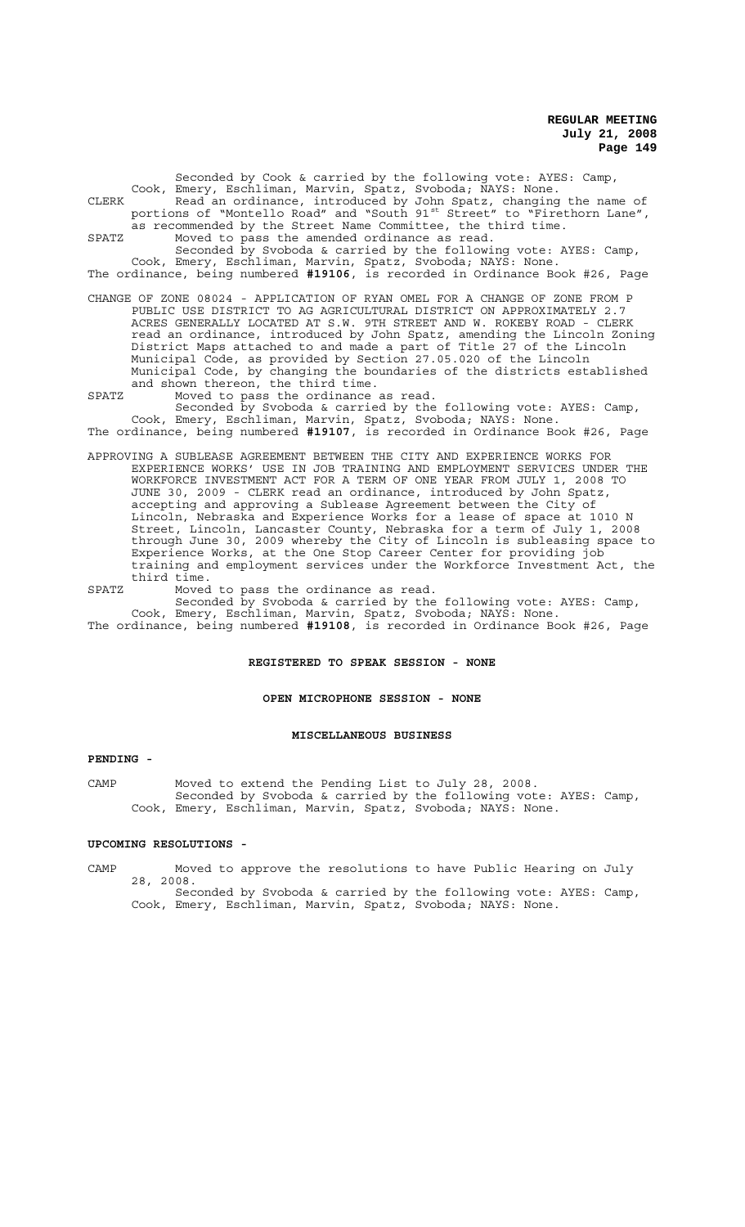Seconded by Cook & carried by the following vote: AYES: Camp, Cook, Emery, Eschliman, Marvin, Spatz, Svoboda; NAYS: None. CLERK Read an ordinance, introduced by John Spatz, changing the name of portions of "Montello Road" and "South 91<sup>st</sup> Street" to "Firethorn Lane", as recommended by the Street Name Committee, the third time. SPATZ Moved to pass the amended ordinance as read. Seconded by Svoboda & carried by the following vote: AYES: Camp, Cook, Emery, Eschliman, Marvin, Spatz, Svoboda; NAYS: None.

The ordinance, being numbered **#19106**, is recorded in Ordinance Book #26, Page

CHANGE OF ZONE 08024 - APPLICATION OF RYAN OMEL FOR A CHANGE OF ZONE FROM P PUBLIC USE DISTRICT TO AG AGRICULTURAL DISTRICT ON APPROXIMATELY 2.7 ACRES GENERALLY LOCATED AT S.W. 9TH STREET AND W. ROKEBY ROAD - CLERK read an ordinance, introduced by John Spatz, amending the Lincoln Zoning District Maps attached to and made a part of Title 27 of the Lincoln Municipal Code, as provided by Section 27.05.020 of the Lincoln Municipal Code, by changing the boundaries of the districts established and shown thereon, the third time.

SPATZ Moved to pass the ordinance as read.

Seconded by Svoboda & carried by the following vote: AYES: Camp, Cook, Emery, Eschliman, Marvin, Spatz, Svoboda; NAYS: None. The ordinance, being numbered **#19107**, is recorded in Ordinance Book #26, Page

APPROVING A SUBLEASE AGREEMENT BETWEEN THE CITY AND EXPERIENCE WORKS FOR EXPERIENCE WORKS' USE IN JOB TRAINING AND EMPLOYMENT SERVICES UNDER THE WORKFORCE INVESTMENT ACT FOR A TERM OF ONE YEAR FROM JULY 1, 2008 TO JUNE 30, 2009 - CLERK read an ordinance, introduced by John Spatz, accepting and approving a Sublease Agreement between the City of Lincoln, Nebraska and Experience Works for a lease of space at 1010 N Street, Lincoln, Lancaster County, Nebraska for a term of July 1, 2008 through June 30, 2009 whereby the City of Lincoln is subleasing space to Experience Works, at the One Stop Career Center for providing job training and employment services under the Workforce Investment Act, the third time.

SPATZ Moved to pass the ordinance as read. Seconded by Svoboda & carried by the following vote: AYES: Camp, Cook, Emery, Eschliman, Marvin, Spatz, Svoboda; NAYS: None.

The ordinance, being numbered **#19108**, is recorded in Ordinance Book #26, Page

#### **REGISTERED TO SPEAK SESSION - NONE**

#### **OPEN MICROPHONE SESSION - NONE**

#### **MISCELLANEOUS BUSINESS**

#### **PENDING -**

CAMP Moved to extend the Pending List to July 28, 2008. Seconded by Svoboda & carried by the following vote: AYES: Camp, Cook, Emery, Eschliman, Marvin, Spatz, Svoboda; NAYS: None.

#### **UPCOMING RESOLUTIONS -**

CAMP Moved to approve the resolutions to have Public Hearing on July 28, 2008.

Seconded by Svoboda & carried by the following vote: AYES: Camp, Cook, Emery, Eschliman, Marvin, Spatz, Svoboda; NAYS: None.